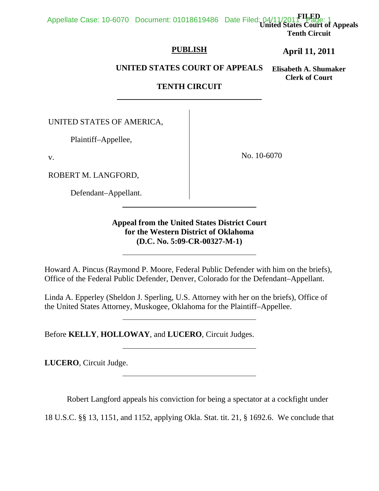**FILED United States Court of Appeals Tenth Circuit**  Appellate Case: 10-6070 Document: 01018619486 Date Filed: 04/11/2011 Page: 1

## **PUBLISH**

**April 11, 2011**

**UNITED STATES COURT OF APPEALS**

**Elisabeth A. Shumaker Clerk of Court**

# **TENTH CIRCUIT**

UNITED STATES OF AMERICA,

Plaintiff–Appellee,

v.

ROBERT M. LANGFORD,

Defendant–Appellant.

 $\overline{a}$ 

l

 $\overline{a}$ 

No. 10-6070

**Appeal from the United States District Court for the Western District of Oklahoma (D.C. No. 5:09-CR-00327-M-1)**

Howard A. Pincus (Raymond P. Moore, Federal Public Defender with him on the briefs), Office of the Federal Public Defender, Denver, Colorado for the Defendant–Appellant.

Linda A. Epperley (Sheldon J. Sperling, U.S. Attorney with her on the briefs), Office of the United States Attorney, Muskogee, Oklahoma for the Plaintiff–Appellee.

Before **KELLY**, **HOLLOWAY**, and **LUCERO**, Circuit Judges.

**LUCERO**, Circuit Judge.

Robert Langford appeals his conviction for being a spectator at a cockfight under

18 U.S.C. §§ 13, 1151, and 1152, applying Okla. Stat. tit. 21, § 1692.6. We conclude that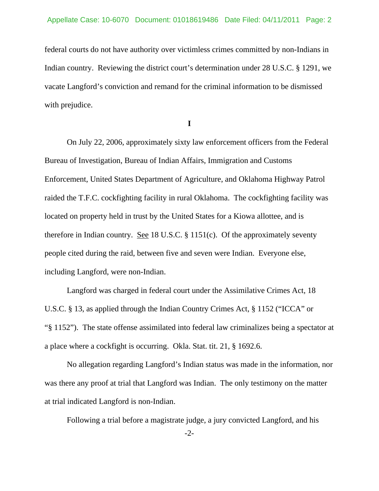federal courts do not have authority over victimless crimes committed by non-Indians in Indian country. Reviewing the district court's determination under 28 U.S.C. § 1291, we vacate Langford's conviction and remand for the criminal information to be dismissed with prejudice.

**I** 

 On July 22, 2006, approximately sixty law enforcement officers from the Federal Bureau of Investigation, Bureau of Indian Affairs, Immigration and Customs Enforcement, United States Department of Agriculture, and Oklahoma Highway Patrol raided the T.F.C. cockfighting facility in rural Oklahoma. The cockfighting facility was located on property held in trust by the United States for a Kiowa allottee, and is therefore in Indian country. See 18 U.S.C.  $\S$  1151(c). Of the approximately seventy people cited during the raid, between five and seven were Indian. Everyone else, including Langford, were non-Indian.

 Langford was charged in federal court under the Assimilative Crimes Act, 18 U.S.C. § 13, as applied through the Indian Country Crimes Act, § 1152 ("ICCA" or "§ 1152"). The state offense assimilated into federal law criminalizes being a spectator at a place where a cockfight is occurring. Okla. Stat. tit. 21, § 1692.6.

 No allegation regarding Langford's Indian status was made in the information, nor was there any proof at trial that Langford was Indian. The only testimony on the matter at trial indicated Langford is non-Indian.

Following a trial before a magistrate judge, a jury convicted Langford, and his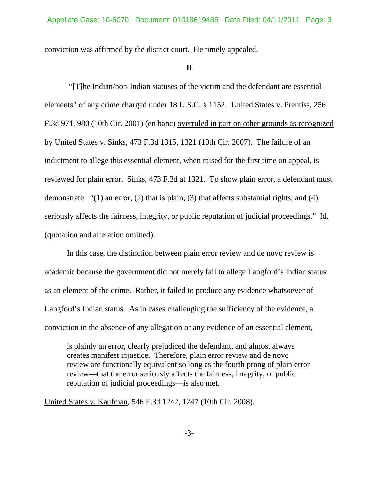conviction was affirmed by the district court. He timely appealed.

### **II**

 "[T]he Indian/non-Indian statuses of the victim and the defendant are essential elements" of any crime charged under 18 U.S.C. § 1152. United States v. Prentiss, 256 F.3d 971, 980 (10th Cir. 2001) (en banc) overruled in part on other grounds as recognized by United States v. Sinks, 473 F.3d 1315, 1321 (10th Cir. 2007). The failure of an indictment to allege this essential element, when raised for the first time on appeal, is reviewed for plain error. Sinks, 473 F.3d at 1321. To show plain error, a defendant must demonstrate: "(1) an error, (2) that is plain, (3) that affects substantial rights, and (4) seriously affects the fairness, integrity, or public reputation of judicial proceedings." Id. (quotation and alteration omitted).

In this case, the distinction between plain error review and de novo review is academic because the government did not merely fail to allege Langford's Indian status as an element of the crime. Rather, it failed to produce any evidence whatsoever of Langford's Indian status. As in cases challenging the sufficiency of the evidence, a conviction in the absence of any allegation or any evidence of an essential element,

is plainly an error, clearly prejudiced the defendant, and almost always creates manifest injustice. Therefore, plain error review and de novo review are functionally equivalent so long as the fourth prong of plain error review—that the error seriously affects the fairness, integrity, or public reputation of judicial proceedings—is also met.

United States v. Kaufman, 546 F.3d 1242, 1247 (10th Cir. 2008).

-3-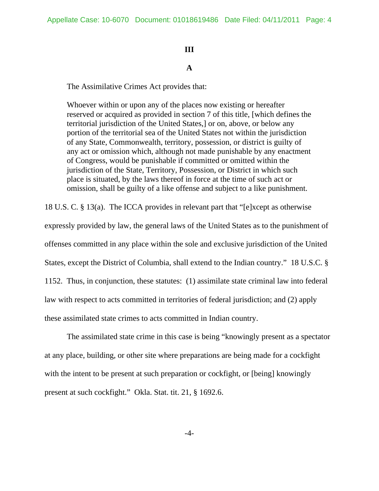### **III**

## **A**

The Assimilative Crimes Act provides that:

Whoever within or upon any of the places now existing or hereafter reserved or acquired as provided in section 7 of this title, [which defines the territorial jurisdiction of the United States,] or on, above, or below any portion of the territorial sea of the United States not within the jurisdiction of any State, Commonwealth, territory, possession, or district is guilty of any act or omission which, although not made punishable by any enactment of Congress, would be punishable if committed or omitted within the jurisdiction of the State, Territory, Possession, or District in which such place is situated, by the laws thereof in force at the time of such act or omission, shall be guilty of a like offense and subject to a like punishment.

18 U.S. C. § 13(a). The ICCA provides in relevant part that "[e]xcept as otherwise

expressly provided by law, the general laws of the United States as to the punishment of offenses committed in any place within the sole and exclusive jurisdiction of the United States, except the District of Columbia, shall extend to the Indian country." 18 U.S.C. § 1152. Thus, in conjunction, these statutes: (1) assimilate state criminal law into federal law with respect to acts committed in territories of federal jurisdiction; and (2) apply these assimilated state crimes to acts committed in Indian country.

 The assimilated state crime in this case is being "knowingly present as a spectator at any place, building, or other site where preparations are being made for a cockfight with the intent to be present at such preparation or cockfight, or [being] knowingly present at such cockfight." Okla. Stat. tit. 21, § 1692.6.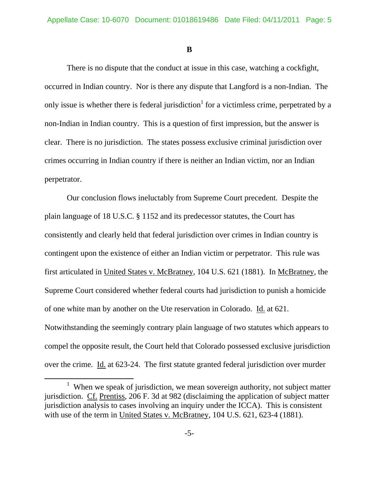**B** 

 There is no dispute that the conduct at issue in this case, watching a cockfight, occurred in Indian country. Nor is there any dispute that Langford is a non-Indian. The only issue is whether there is federal jurisdiction<sup>1</sup> for a victimless crime, perpetrated by a non-Indian in Indian country. This is a question of first impression, but the answer is clear. There is no jurisdiction. The states possess exclusive criminal jurisdiction over crimes occurring in Indian country if there is neither an Indian victim, nor an Indian perpetrator.

 Our conclusion flows ineluctably from Supreme Court precedent. Despite the plain language of 18 U.S.C. § 1152 and its predecessor statutes, the Court has consistently and clearly held that federal jurisdiction over crimes in Indian country is contingent upon the existence of either an Indian victim or perpetrator. This rule was first articulated in United States v. McBratney, 104 U.S. 621 (1881). In McBratney, the Supreme Court considered whether federal courts had jurisdiction to punish a homicide of one white man by another on the Ute reservation in Colorado. Id. at 621. Notwithstanding the seemingly contrary plain language of two statutes which appears to compel the opposite result, the Court held that Colorado possessed exclusive jurisdiction over the crime. Id. at 623-24. The first statute granted federal jurisdiction over murder

<sup>&</sup>lt;u>1</u>  $1$  When we speak of jurisdiction, we mean sovereign authority, not subject matter jurisdiction. Cf. Prentiss, 206 F. 3d at 982 (disclaiming the application of subject matter jurisdiction analysis to cases involving an inquiry under the ICCA). This is consistent with use of the term in United States v. McBratney, 104 U.S. 621, 623-4 (1881).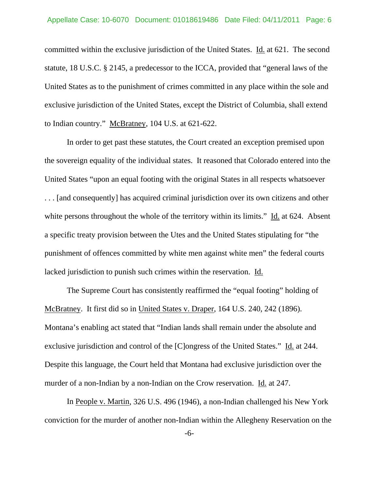committed within the exclusive jurisdiction of the United States. Id. at 621. The second statute, 18 U.S.C. § 2145, a predecessor to the ICCA, provided that "general laws of the United States as to the punishment of crimes committed in any place within the sole and exclusive jurisdiction of the United States, except the District of Columbia, shall extend to Indian country." McBratney, 104 U.S. at 621-622.

 In order to get past these statutes, the Court created an exception premised upon the sovereign equality of the individual states. It reasoned that Colorado entered into the United States "upon an equal footing with the original States in all respects whatsoever . . . [and consequently] has acquired criminal jurisdiction over its own citizens and other white persons throughout the whole of the territory within its limits." Id. at 624. Absent a specific treaty provision between the Utes and the United States stipulating for "the punishment of offences committed by white men against white men" the federal courts lacked jurisdiction to punish such crimes within the reservation. Id.

 The Supreme Court has consistently reaffirmed the "equal footing" holding of McBratney. It first did so in United States v. Draper, 164 U.S. 240, 242 (1896). Montana's enabling act stated that "Indian lands shall remain under the absolute and exclusive jurisdiction and control of the [C]ongress of the United States." Id. at 244. Despite this language, the Court held that Montana had exclusive jurisdiction over the murder of a non-Indian by a non-Indian on the Crow reservation. Id. at 247.

 In People v. Martin, 326 U.S. 496 (1946), a non-Indian challenged his New York conviction for the murder of another non-Indian within the Allegheny Reservation on the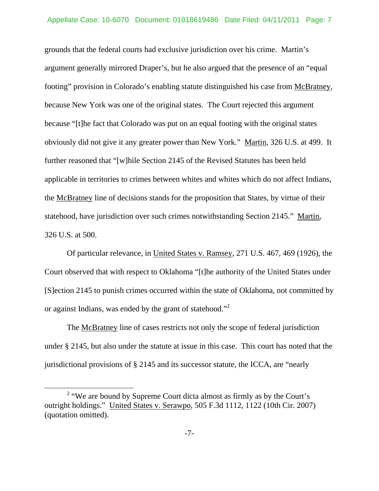grounds that the federal courts had exclusive jurisdiction over his crime. Martin's argument generally mirrored Draper's, but he also argued that the presence of an "equal footing" provision in Colorado's enabling statute distinguished his case from McBratney, because New York was one of the original states. The Court rejected this argument because "[t]he fact that Colorado was put on an equal footing with the original states obviously did not give it any greater power than New York." Martin, 326 U.S. at 499. It further reasoned that "[w]hile Section 2145 of the Revised Statutes has been held applicable in territories to crimes between whites and whites which do not affect Indians, the McBratney line of decisions stands for the proposition that States, by virtue of their statehood, have jurisdiction over such crimes notwithstanding Section 2145." Martin, 326 U.S. at 500.

 Of particular relevance, in United States v. Ramsey, 271 U.S. 467, 469 (1926), the Court observed that with respect to Oklahoma "[t]he authority of the United States under [S]ection 2145 to punish crimes occurred within the state of Oklahoma, not committed by or against Indians, was ended by the grant of statehood."<sup>2</sup>

 The McBratney line of cases restricts not only the scope of federal jurisdiction under § 2145, but also under the statute at issue in this case. This court has noted that the jurisdictional provisions of § 2145 and its successor statute, the ICCA, are "nearly

 $\overline{\ }$  2  $2$  "We are bound by Supreme Court dicta almost as firmly as by the Court's outright holdings." United States v. Serawpo, 505 F.3d 1112, 1122 (10th Cir. 2007) (quotation omitted).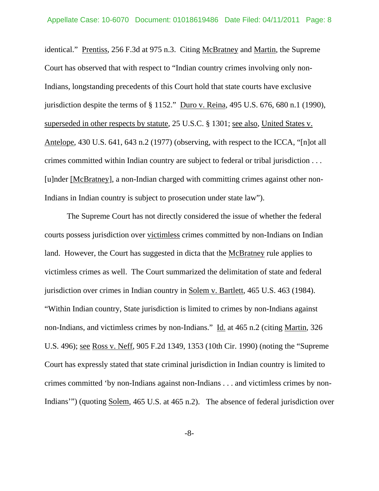identical." Prentiss, 256 F.3d at 975 n.3. Citing McBratney and Martin, the Supreme Court has observed that with respect to "Indian country crimes involving only non-Indians, longstanding precedents of this Court hold that state courts have exclusive jurisdiction despite the terms of § 1152." Duro v. Reina, 495 U.S. 676, 680 n.1 (1990), superseded in other respects by statute, 25 U.S.C. § 1301; see also, United States v. Antelope, 430 U.S. 641, 643 n.2 (1977) (observing, with respect to the ICCA, "[n]ot all crimes committed within Indian country are subject to federal or tribal jurisdiction . . . [u]nder [McBratney], a non-Indian charged with committing crimes against other non-Indians in Indian country is subject to prosecution under state law").

 The Supreme Court has not directly considered the issue of whether the federal courts possess jurisdiction over victimless crimes committed by non-Indians on Indian land. However, the Court has suggested in dicta that the McBratney rule applies to victimless crimes as well. The Court summarized the delimitation of state and federal jurisdiction over crimes in Indian country in Solem v. Bartlett, 465 U.S. 463 (1984). "Within Indian country, State jurisdiction is limited to crimes by non-Indians against non-Indians, and victimless crimes by non-Indians." Id. at 465 n.2 (citing Martin, 326 U.S. 496); see Ross v. Neff, 905 F.2d 1349, 1353 (10th Cir. 1990) (noting the "Supreme Court has expressly stated that state criminal jurisdiction in Indian country is limited to crimes committed 'by non-Indians against non-Indians . . . and victimless crimes by non-Indians'") (quoting Solem, 465 U.S. at 465 n.2). The absence of federal jurisdiction over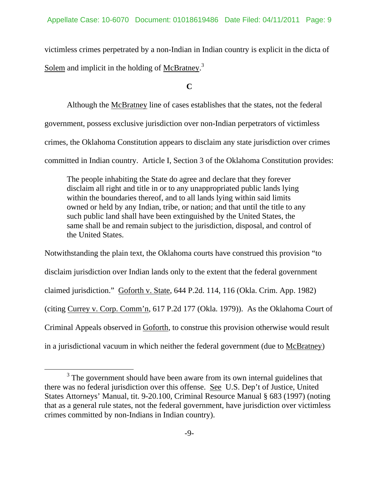victimless crimes perpetrated by a non-Indian in Indian country is explicit in the dicta of Solem and implicit in the holding of McBratney.<sup>3</sup>

**C** 

Although the McBratney line of cases establishes that the states, not the federal government, possess exclusive jurisdiction over non-Indian perpetrators of victimless crimes, the Oklahoma Constitution appears to disclaim any state jurisdiction over crimes committed in Indian country. Article I, Section 3 of the Oklahoma Constitution provides:

The people inhabiting the State do agree and declare that they forever disclaim all right and title in or to any unappropriated public lands lying within the boundaries thereof, and to all lands lying within said limits owned or held by any Indian, tribe, or nation; and that until the title to any such public land shall have been extinguished by the United States, the same shall be and remain subject to the jurisdiction, disposal, and control of the United States.

Notwithstanding the plain text, the Oklahoma courts have construed this provision "to disclaim jurisdiction over Indian lands only to the extent that the federal government claimed jurisdiction." Goforth v. State, 644 P.2d. 114, 116 (Okla. Crim. App. 1982) (citing Currey v. Corp. Comm'n, 617 P.2d 177 (Okla. 1979)). As the Oklahoma Court of Criminal Appeals observed in Goforth, to construe this provision otherwise would result in a jurisdictional vacuum in which neither the federal government (due to McBratney)

 $\frac{1}{3}$  $3$  The government should have been aware from its own internal guidelines that there was no federal jurisdiction over this offense. See U.S. Dep't of Justice, United States Attorneys' Manual, tit. 9-20.100, Criminal Resource Manual § 683 (1997) (noting that as a general rule states, not the federal government, have jurisdiction over victimless crimes committed by non-Indians in Indian country).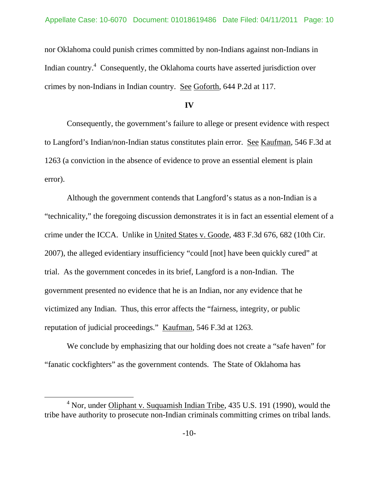nor Oklahoma could punish crimes committed by non-Indians against non-Indians in Indian country.<sup>4</sup> Consequently, the Oklahoma courts have asserted jurisdiction over crimes by non-Indians in Indian country. See Goforth, 644 P.2d at 117.

#### **IV**

 Consequently, the government's failure to allege or present evidence with respect to Langford's Indian/non-Indian status constitutes plain error. See Kaufman, 546 F.3d at 1263 (a conviction in the absence of evidence to prove an essential element is plain error).

 Although the government contends that Langford's status as a non-Indian is a "technicality," the foregoing discussion demonstrates it is in fact an essential element of a crime under the ICCA. Unlike in United States v. Goode, 483 F.3d 676, 682 (10th Cir. 2007), the alleged evidentiary insufficiency "could [not] have been quickly cured" at trial. As the government concedes in its brief, Langford is a non-Indian. The government presented no evidence that he is an Indian, nor any evidence that he victimized any Indian. Thus, this error affects the "fairness, integrity, or public reputation of judicial proceedings." Kaufman, 546 F.3d at 1263.

 We conclude by emphasizing that our holding does not create a "safe haven" for "fanatic cockfighters" as the government contends. The State of Oklahoma has

 $\overline{4}$  $4$  Nor, under Oliphant v. Suquamish Indian Tribe, 435 U.S. 191 (1990), would the tribe have authority to prosecute non-Indian criminals committing crimes on tribal lands.